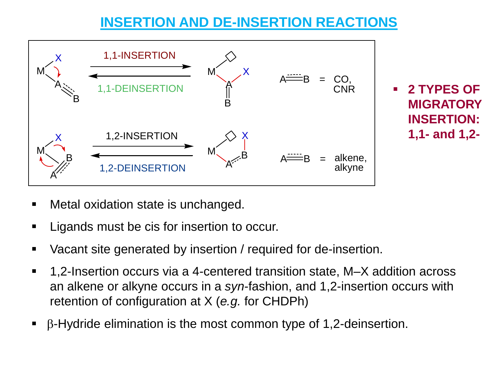# **INSERTION AND DE-INSERTION REACTIONS**



- Metal oxidation state is unchanged.
- Ligands must be cis for insertion to occur.
- Vacant site generated by insertion / required for de-insertion.
- 1,2-Insertion occurs via a 4-centered transition state, M–X addition across an alkene or alkyne occurs in a *syn*-fashion, and 1,2-insertion occurs with retention of configuration at X (*e.g.* for CHDPh)
- $\beta$ -Hydride elimination is the most common type of 1,2-deinsertion.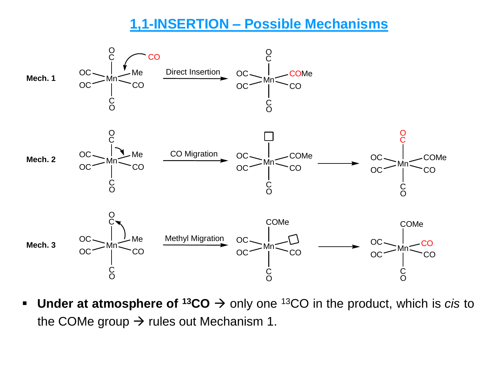#### **1,1-INSERTION – Possible Mechanisms**



■ Under at atmosphere of <sup>13</sup>CO → only one <sup>13</sup>CO in the product, which is *cis* to the COMe group  $\rightarrow$  rules out Mechanism 1.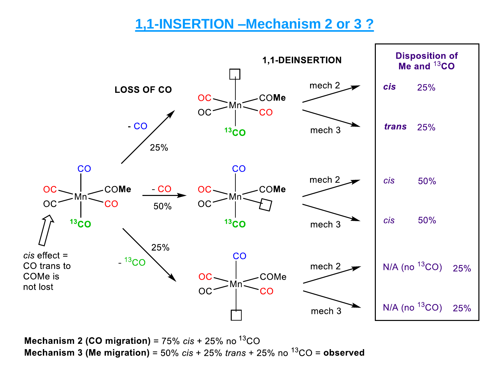## 1,1-INSERTION - Mechanism 2 or 3 ?



**Mechanism 2 (CO migration)** = 75%  $cis + 25$ % no  $^{13}CO$ Mechanism 3 (Me migration) =  $50\%$  cis +  $25\%$  trans +  $25\%$  no  $^{13}CO$  = observed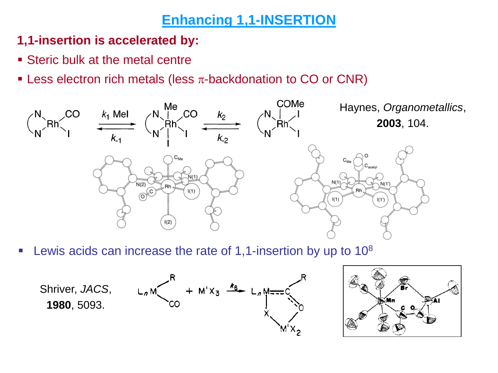## **Enhancing 1,1-INSERTION**

#### **1,1-insertion is accelerated by:**

- **Example 1 Steric bulk at the metal centrent**
- **EXECT** Less electron rich metals (less  $\pi$ -backdonation to CO or CNR)



**EXECUTE:** Lewis acids can increase the rate of 1,1-insertion by up to  $10^8$ 

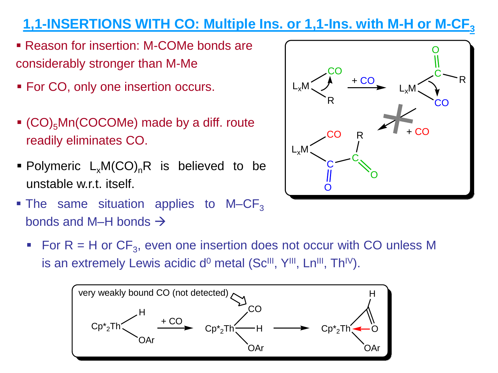# **1,1-INSERTIONS WITH CO: Multiple Ins. or 1,1-Ins. with M-H or M-CF<sup>3</sup>**

- Reason for insertion: M-COMe bonds are considerably stronger than M-Me
- For CO, only one insertion occurs.
- $\bullet$  (CO)<sub>5</sub>Mn(COCOMe) made by a diff. route readily eliminates CO.
- **Polymeric**  $L_xM(CO)_nR$  **is believed to be** unstable w.r.t. itself.
- **The same situation applies to M–CF**<sub>3</sub> bonds and M–H bonds  $\rightarrow$



For  $R = H$  or  $CF_3$ , even one insertion does not occur with CO unless M is an extremely Lewis acidic d<sup>o</sup> metal (Sc<sup>III</sup>, Y<sup>III</sup>, Ln<sup>III</sup>, Th<sup>IV</sup>).